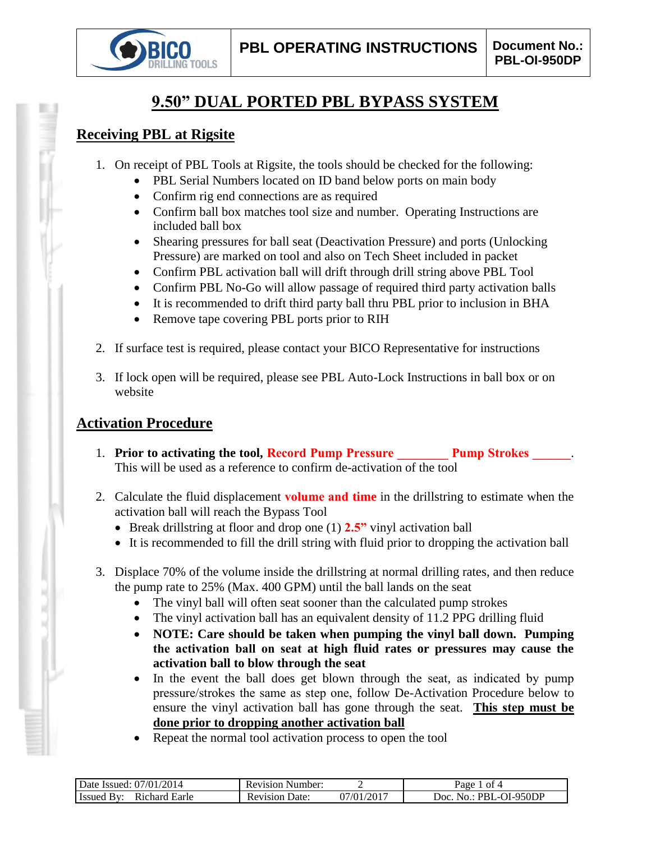

# **9.50" DUAL PORTED PBL BYPASS SYSTEM**

## **Receiving PBL at Rigsite**

- 1. On receipt of PBL Tools at Rigsite, the tools should be checked for the following:
	- PBL Serial Numbers located on ID band below ports on main body
	- Confirm rig end connections are as required
	- Confirm ball box matches tool size and number. Operating Instructions are included ball box
	- Shearing pressures for ball seat (Deactivation Pressure) and ports (Unlocking Pressure) are marked on tool and also on Tech Sheet included in packet
	- Confirm PBL activation ball will drift through drill string above PBL Tool
	- Confirm PBL No-Go will allow passage of required third party activation balls
	- It is recommended to drift third party ball thru PBL prior to inclusion in BHA
	- Remove tape covering PBL ports prior to RIH
- 2. If surface test is required, please contact your BICO Representative for instructions
- 3. If lock open will be required, please see PBL Auto-Lock Instructions in ball box or on website

# **Activation Procedure**

- 1. **Prior to activating the tool, Record Pump Pressure Pump Strokes 2014** This will be used as a reference to confirm de-activation of the tool
- 2. Calculate the fluid displacement **volume and time** in the drillstring to estimate when the activation ball will reach the Bypass Tool
	- Break drillstring at floor and drop one (1) **2.5"** vinyl activation ball
	- It is recommended to fill the drill string with fluid prior to dropping the activation ball
- 3. Displace 70% of the volume inside the drillstring at normal drilling rates, and then reduce the pump rate to 25% (Max. 400 GPM) until the ball lands on the seat
	- The vinyl ball will often seat sooner than the calculated pump strokes
	- The vinyl activation ball has an equivalent density of 11.2 PPG drilling fluid
	- **NOTE: Care should be taken when pumping the vinyl ball down. Pumping the activation ball on seat at high fluid rates or pressures may cause the activation ball to blow through the seat**
	- In the event the ball does get blown through the seat, as indicated by pump pressure/strokes the same as step one, follow De-Activation Procedure below to ensure the vinyl activation ball has gone through the seat. **This step must be done prior to dropping another activation ball**
	- Repeat the normal tool activation process to open the tool

| 2014<br>07/01/<br>Date Issued:               | Number:<br>Revision     |                | nt 4<br>Раое                           |
|----------------------------------------------|-------------------------|----------------|----------------------------------------|
| Earle<br>ıchard<br>⊓ssueα<br>K <sub>10</sub> | Jate:<br>evision.<br>ĸι | /2017<br>07/01 | OI-950DP<br>Joc<br>PRI<br>$\mathbf{a}$ |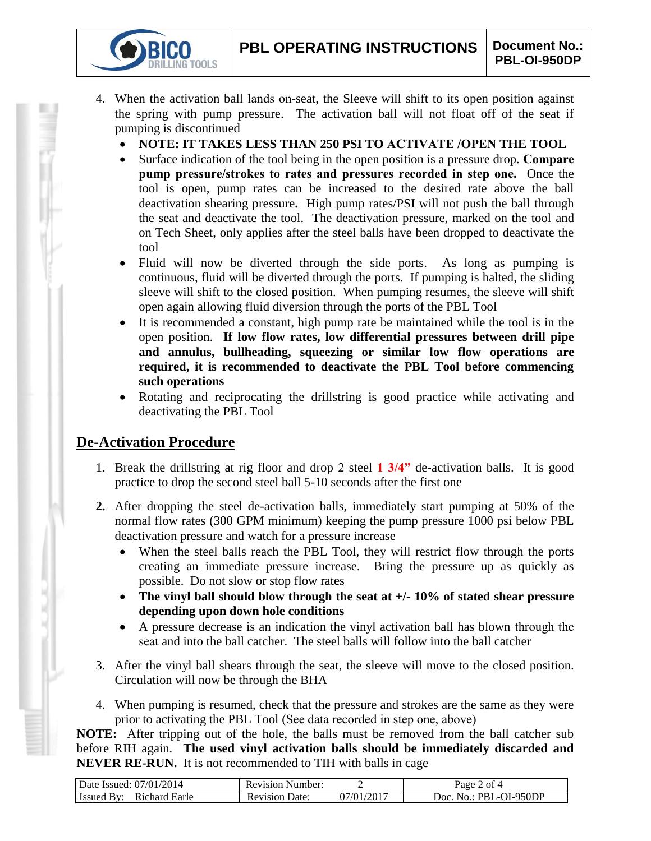- 4. When the activation ball lands on-seat, the Sleeve will shift to its open position against the spring with pump pressure. The activation ball will not float off of the seat if pumping is discontinued
	- **NOTE: IT TAKES LESS THAN 250 PSI TO ACTIVATE /OPEN THE TOOL**
	- Surface indication of the tool being in the open position is a pressure drop. **Compare pump pressure/strokes to rates and pressures recorded in step one.** Once the tool is open, pump rates can be increased to the desired rate above the ball deactivation shearing pressure**.** High pump rates/PSI will not push the ball through the seat and deactivate the tool. The deactivation pressure, marked on the tool and on Tech Sheet, only applies after the steel balls have been dropped to deactivate the tool
	- Fluid will now be diverted through the side ports. As long as pumping is continuous, fluid will be diverted through the ports. If pumping is halted, the sliding sleeve will shift to the closed position. When pumping resumes, the sleeve will shift open again allowing fluid diversion through the ports of the PBL Tool
	- It is recommended a constant, high pump rate be maintained while the tool is in the open position. **If low flow rates, low differential pressures between drill pipe and annulus, bullheading, squeezing or similar low flow operations are required, it is recommended to deactivate the PBL Tool before commencing such operations**
	- Rotating and reciprocating the drillstring is good practice while activating and deactivating the PBL Tool

# **De-Activation Procedure**

**IG TOOLS** 

- 1. Break the drillstring at rig floor and drop 2 steel **1 3/4"** de-activation balls. It is good practice to drop the second steel ball 5-10 seconds after the first one
- **2.** After dropping the steel de-activation balls, immediately start pumping at 50% of the normal flow rates (300 GPM minimum) keeping the pump pressure 1000 psi below PBL deactivation pressure and watch for a pressure increase
	- When the steel balls reach the PBL Tool, they will restrict flow through the ports creating an immediate pressure increase. Bring the pressure up as quickly as possible. Do not slow or stop flow rates
	- **The vinyl ball should blow through the seat at +/- 10% of stated shear pressure depending upon down hole conditions**
	- A pressure decrease is an indication the vinyl activation ball has blown through the seat and into the ball catcher. The steel balls will follow into the ball catcher
- 3. After the vinyl ball shears through the seat, the sleeve will move to the closed position. Circulation will now be through the BHA
- 4. When pumping is resumed, check that the pressure and strokes are the same as they were prior to activating the PBL Tool (See data recorded in step one, above)

**NOTE:** After tripping out of the hole, the balls must be removed from the ball catcher sub before RIH again. **The used vinyl activation balls should be immediately discarded and NEVER RE-RUN.** It is not recommended to TIH with balls in cage

| Date Issued: 07/01/2014 | <b>Revision Number:</b> |                          | of 4<br>Page      |
|-------------------------|-------------------------|--------------------------|-------------------|
| <b>Issued By:</b>       | Date:                   | $1/01/201$ <sup>-1</sup> | No.: PBL-OI-950DP |
| Richard Earle           | <b>Revision</b>         |                          | 10C <sub>1</sub>  |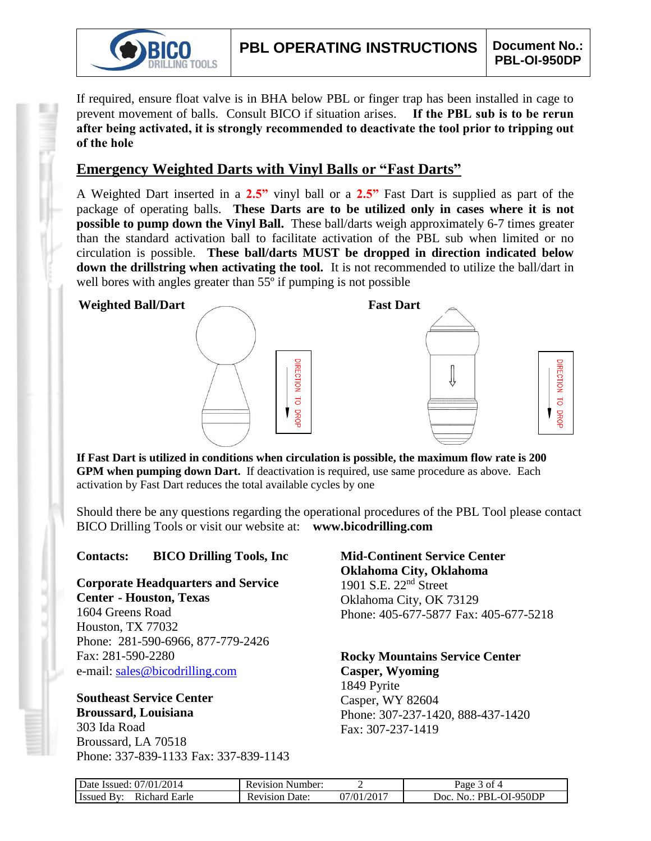

If required, ensure float valve is in BHA below PBL or finger trap has been installed in cage to prevent movement of balls. Consult BICO if situation arises. **If the PBL sub is to be rerun after being activated, it is strongly recommended to deactivate the tool prior to tripping out of the hole**

## **Emergency Weighted Darts with Vinyl Balls or "Fast Darts"**

A Weighted Dart inserted in a **2.5"** vinyl ball or a **2.5"** Fast Dart is supplied as part of the package of operating balls. **These Darts are to be utilized only in cases where it is not possible to pump down the Vinyl Ball.** These ball/darts weigh approximately 6-7 times greater than the standard activation ball to facilitate activation of the PBL sub when limited or no circulation is possible. **These ball/darts MUST be dropped in direction indicated below down the drillstring when activating the tool.** It is not recommended to utilize the ball/dart in well bores with angles greater than 55<sup>°</sup> if pumping is not possible



**If Fast Dart is utilized in conditions when circulation is possible, the maximum flow rate is 200 GPM when pumping down Dart.** If deactivation is required, use same procedure as above. Each activation by Fast Dart reduces the total available cycles by one

Should there be any questions regarding the operational procedures of the PBL Tool please contact BICO Drilling Tools or visit our website at: **www.bicodrilling.com**

## **Contacts: BICO Drilling Tools, Inc**

**Corporate Headquarters and Service Center - Houston, Texas**

1604 Greens Road Houston, TX 77032 Phone: 281-590-6966, 877-779-2426 Fax: 281-590-2280 e-mail: [sales@bicodrilling.com](mailto:sales@bicodrilling.com)

#### **Southeast Service Center Broussard, Louisiana** 303 Ida Road

Broussard, LA 70518 Phone: 337-839-1133 Fax: 337-839-1143 **Mid-Continent Service Center Oklahoma City, Oklahoma** 1901 S.E. 22nd Street Oklahoma City, OK 73129 Phone: 405-677-5877 Fax: 405-677-5218

**Rocky Mountains Service Center Casper, Wyoming** 1849 Pyrite Casper, WY 82604 Phone: 307-237-1420, 888-437-1420

Fax: 307-237-1419

| Date Issued: 07/01/2014                 | <b>Revision Number:</b> |            | 3 of 4<br>$Page$ .           |
|-----------------------------------------|-------------------------|------------|------------------------------|
| Richard Earle<br><b>Issued</b><br>. RA. | <b>Revision Date:</b>   | 07/01/2017 | PBL-OI-950DP<br>Doc.<br>No.: |